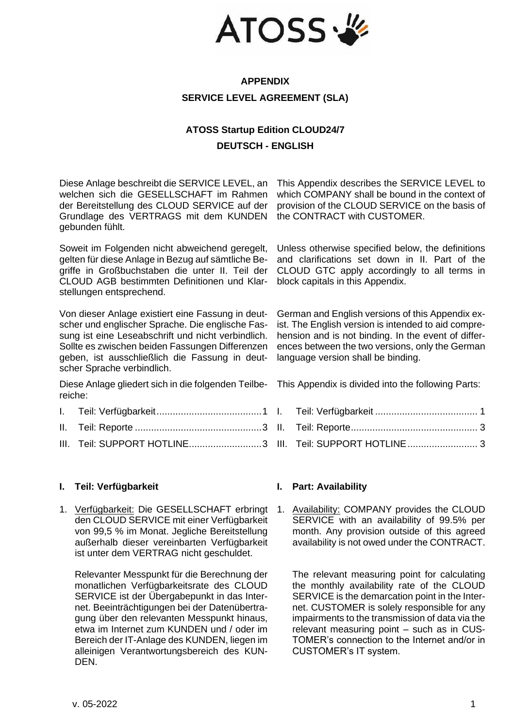

## **APPENDIX SERVICE LEVEL AGREEMENT (SLA)**

# **ATOSS Startup Edition CLOUD24/7 DEUTSCH - ENGLISH**

Diese Anlage beschreibt die SERVICE LEVEL, an welchen sich die GESELLSCHAFT im Rahmen der Bereitstellung des CLOUD SERVICE auf der Grundlage des VERTRAGS mit dem KUNDEN gebunden fühlt.

Soweit im Folgenden nicht abweichend geregelt, gelten für diese Anlage in Bezug auf sämtliche Begriffe in Großbuchstaben die unter II. Teil der CLOUD AGB bestimmten Definitionen und Klarstellungen entsprechend.

Von dieser Anlage existiert eine Fassung in deutscher und englischer Sprache. Die englische Fassung ist eine Leseabschrift und nicht verbindlich. Sollte es zwischen beiden Fassungen Differenzen geben, ist ausschließlich die Fassung in deutscher Sprache verbindlich.

Diese Anlage gliedert sich in die folgenden Teilbereiche:

- I. [Teil: Verfügbarkeit.......................................1](#page-0-0)
- II. Teil: Reporte [...............................................3](#page-2-0)
- III. [Teil: SUPPORT HOTLINE...........................3](#page-2-1)

#### <span id="page-0-0"></span>**I. Teil: Verfügbarkeit I. Part: Availability**

1. Verfügbarkeit: Die GESELLSCHAFT erbringt den CLOUD SERVICE mit einer Verfügbarkeit von 99,5 % im Monat. Jegliche Bereitstellung außerhalb dieser vereinbarten Verfügbarkeit ist unter dem VERTRAG nicht geschuldet.

Relevanter Messpunkt für die Berechnung der monatlichen Verfügbarkeitsrate des CLOUD SERVICE ist der Übergabepunkt in das Internet. Beeinträchtigungen bei der Datenübertragung über den relevanten Messpunkt hinaus, etwa im Internet zum KUNDEN und / oder im Bereich der IT-Anlage des KUNDEN, liegen im alleinigen Verantwortungsbereich des KUN-DEN.

This Appendix describes the SERVICE LEVEL to which COMPANY shall be bound in the context of provision of the CLOUD SERVICE on the basis of the CONTRACT with CUSTOMER.

Unless otherwise specified below, the definitions and clarifications set down in II. Part of the CLOUD GTC apply accordingly to all terms in block capitals in this Appendix.

German and English versions of this Appendix exist. The English version is intended to aid comprehension and is not binding. In the event of differences between the two versions, only the German language version shall be binding.

This Appendix is divided into the following Parts:

- I. Teil: Verfügbarkeit [......................................](#page-0-0) 1
- II. [Teil: Reporte...............................................](#page-2-0) 3
- III. [Teil: SUPPORT HOTLINE..........................](#page-2-1) 3

1. Availability: COMPANY provides the CLOUD SERVICE with an availability of 99.5% per month. Any provision outside of this agreed availability is not owed under the CONTRACT.

The relevant measuring point for calculating the monthly availability rate of the CLOUD SERVICE is the demarcation point in the Internet. CUSTOMER is solely responsible for any impairments to the transmission of data via the relevant measuring point – such as in CUS-TOMER's connection to the Internet and/or in CUSTOMER's IT system.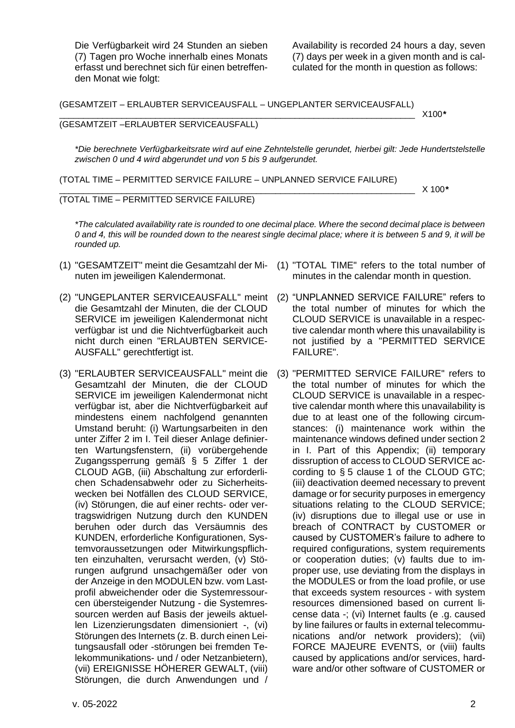Die Verfügbarkeit wird 24 Stunden an sieben (7) Tagen pro Woche innerhalb eines Monats erfasst und berechnet sich für einen betreffenden Monat wie folgt:

Availability is recorded 24 hours a day, seven (7) days per week in a given month and is calculated for the month in question as follows:

(GESAMTZEIT – ERLAUBTER SERVICEAUSFALL – UNGEPLANTER SERVICEAUSFALL)

#### \_\_\_\_\_\_\_\_\_\_\_\_\_\_\_\_\_\_\_\_\_\_\_\_\_\_\_\_\_\_\_\_\_\_\_\_\_\_\_\_\_\_\_\_\_\_\_\_\_\_\_\_\_\_\_\_\_\_\_\_\_\_\_\_\_\_\_\_\_\_\_\_\_\_ X100*\** (GESAMTZEIT –ERLAUBTER SERVICEAUSFALL)

*\*Die berechnete Verfügbarkeitsrate wird auf eine Zehntelstelle gerundet, hierbei gilt: Jede Hundertstelstelle zwischen 0 und 4 wird abgerundet und von 5 bis 9 aufgerundet.*

(TOTAL TIME – PERMITTED SERVICE FAILURE – UNPLANNED SERVICE FAILURE)

\_\_\_\_\_\_\_\_\_\_\_\_\_\_\_\_\_\_\_\_\_\_\_\_\_\_\_\_\_\_\_\_\_\_\_\_\_\_\_\_\_\_\_\_\_\_\_\_\_\_\_\_\_\_\_\_\_\_\_\_\_\_\_\_\_\_\_\_\_\_\_\_\_\_ X 100*\**

### (TOTAL TIME – PERMITTED SERVICE FAILURE)

*\*The calculated availability rate is rounded to one decimal place. Where the second decimal place is between 0 and 4, this will be rounded down to the nearest single decimal place; where it is between 5 and 9, it will be rounded up.*

- (1) "GESAMTZEIT" meint die Gesamtzahl der Mi-(1) "TOTAL TIME" refers to the total number of nuten im jeweiligen Kalendermonat.
- (2) "UNGEPLANTER SERVICEAUSFALL" meint die Gesamtzahl der Minuten, die der CLOUD SERVICE im jeweiligen Kalendermonat nicht verfügbar ist und die Nichtverfügbarkeit auch nicht durch einen "ERLAUBTEN SERVICE-AUSFALL" gerechtfertigt ist.
- (3) "ERLAUBTER SERVICEAUSFALL" meint die Gesamtzahl der Minuten, die der CLOUD SERVICE im jeweiligen Kalendermonat nicht verfügbar ist, aber die Nichtverfügbarkeit auf mindestens einem nachfolgend genannten Umstand beruht: (i) Wartungsarbeiten in den unter Ziffer 2 im I. Teil dieser Anlage definierten Wartungsfenstern, (ii) vorübergehende Zugangssperrung gemäß § 5 Ziffer 1 der CLOUD AGB, (iii) Abschaltung zur erforderlichen Schadensabwehr oder zu Sicherheitswecken bei Notfällen des CLOUD SERVICE, (iv) Störungen, die auf einer rechts- oder vertragswidrigen Nutzung durch den KUNDEN beruhen oder durch das Versäumnis des KUNDEN, erforderliche Konfigurationen, Systemvoraussetzungen oder Mitwirkungspflichten einzuhalten, verursacht werden, (v) Störungen aufgrund unsachgemäßer oder von der Anzeige in den MODULEN bzw. vom Lastprofil abweichender oder die Systemressourcen übersteigender Nutzung - die Systemressourcen werden auf Basis der jeweils aktuellen Lizenzierungsdaten dimensioniert -, (vi) Störungen des Internets (z. B. durch einen Leitungsausfall oder -störungen bei fremden Telekommunikations- und / oder Netzanbietern), (vii) EREIGNISSE HÖHERER GEWALT, (viii) Störungen, die durch Anwendungen und /
- minutes in the calendar month in question.
- (2) "UNPLANNED SERVICE FAILURE" refers to the total number of minutes for which the CLOUD SERVICE is unavailable in a respective calendar month where this unavailability is not justified by a "PERMITTED SERVICE FAILURE".
- (3) "PERMITTED SERVICE FAILURE" refers to the total number of minutes for which the CLOUD SERVICE is unavailable in a respective calendar month where this unavailability is due to at least one of the following circumstances: (i) maintenance work within the maintenance windows defined under section 2 in I. Part of this Appendix; (ii) temporary dissruption of access to CLOUD SERVICE according to § 5 clause 1 of the CLOUD GTC; (iii) deactivation deemed necessary to prevent damage or for security purposes in emergency situations relating to the CLOUD SERVICE; (iv) disruptions due to illegal use or use in breach of CONTRACT by CUSTOMER or caused by CUSTOMER's failure to adhere to required configurations, system requirements or cooperation duties; (v) faults due to improper use, use deviating from the displays in the MODULES or from the load profile, or use that exceeds system resources - with system resources dimensioned based on current license data -; (vi) Internet faults (e .g. caused by line failures or faults in external telecommunications and/or network providers); (vii) FORCE MAJEURE EVENTS, or (viii) faults caused by applications and/or services, hardware and/or other software of CUSTOMER or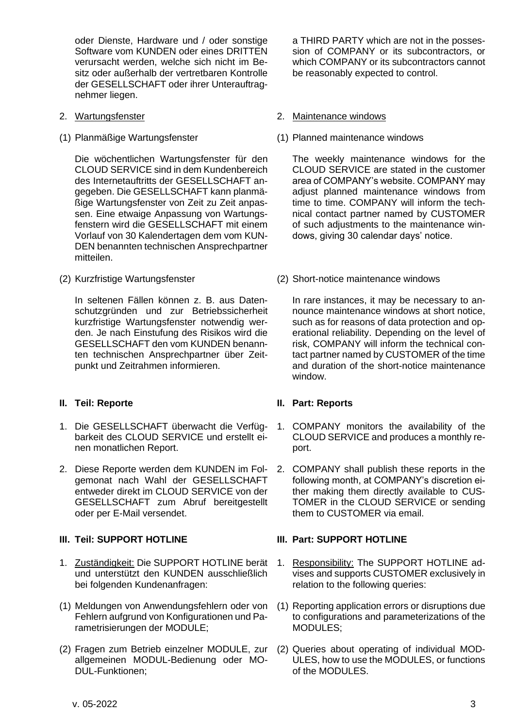oder Dienste, Hardware und / oder sonstige Software vom KUNDEN oder eines DRITTEN verursacht werden, welche sich nicht im Besitz oder außerhalb der vertretbaren Kontrolle der GESELLSCHAFT oder ihrer Unterauftragnehmer liegen.

- 
- 

Die wöchentlichen Wartungsfenster für den CLOUD SERVICE sind in dem Kundenbereich des Internetauftritts der GESELLSCHAFT angegeben. Die GESELLSCHAFT kann planmäßige Wartungsfenster von Zeit zu Zeit anpassen. Eine etwaige Anpassung von Wartungsfenstern wird die GESELLSCHAFT mit einem Vorlauf von 30 Kalendertagen dem vom KUN-DEN benannten technischen Ansprechpartner mitteilen.

In seltenen Fällen können z. B. aus Datenschutzgründen und zur Betriebssicherheit kurzfristige Wartungsfenster notwendig werden. Je nach Einstufung des Risikos wird die GESELLSCHAFT den vom KUNDEN benannten technischen Ansprechpartner über Zeitpunkt und Zeitrahmen informieren.

## <span id="page-2-0"></span>**II. Teil: Reporte II. Part: Reports**

- 1. Die GESELLSCHAFT überwacht die Verfügbarkeit des CLOUD SERVICE und erstellt einen monatlichen Report.
- 2. Diese Reporte werden dem KUNDEN im Folgemonat nach Wahl der GESELLSCHAFT entweder direkt im CLOUD SERVICE von der GESELLSCHAFT zum Abruf bereitgestellt oder per E-Mail versendet.

- 1. Zuständigkeit: Die SUPPORT HOTLINE berät und unterstützt den KUNDEN ausschließlich bei folgenden Kundenanfragen:
- (1) Meldungen von Anwendungsfehlern oder von Fehlern aufgrund von Konfigurationen und Parametrisierungen der MODULE;
- (2) Fragen zum Betrieb einzelner MODULE, zur allgemeinen MODUL-Bedienung oder MO-DUL-Funktionen;

a THIRD PARTY which are not in the possession of COMPANY or its subcontractors, or which COMPANY or its subcontractors cannot be reasonably expected to control.

### 2. Wartungsfenster 2. Maintenance windows

(1) Planmäßige Wartungsfenster (1) Planned maintenance windows

The weekly maintenance windows for the CLOUD SERVICE are stated in the customer area of COMPANY's website. COMPANY may adjust planned maintenance windows from time to time. COMPANY will inform the technical contact partner named by CUSTOMER of such adjustments to the maintenance windows, giving 30 calendar days' notice.

(2) Kurzfristige Wartungsfenster (2) Short-notice maintenance windows

In rare instances, it may be necessary to announce maintenance windows at short notice, such as for reasons of data protection and operational reliability. Depending on the level of risk, COMPANY will inform the technical contact partner named by CUSTOMER of the time and duration of the short-notice maintenance window.

- 1. COMPANY monitors the availability of the CLOUD SERVICE and produces a monthly report.
- 2. COMPANY shall publish these reports in the following month, at COMPANY's discretion either making them directly available to CUS-TOMER in the CLOUD SERVICE or sending them to CUSTOMER via email.

## <span id="page-2-1"></span>**III. Teil: SUPPORT HOTLINE III. Part: SUPPORT HOTLINE**

- 1. Responsibility: The SUPPORT HOTLINE advises and supports CUSTOMER exclusively in relation to the following queries:
- (1) Reporting application errors or disruptions due to configurations and parameterizations of the MODULES;
- (2) Queries about operating of individual MOD-ULES, how to use the MODULES, or functions of the MODULES.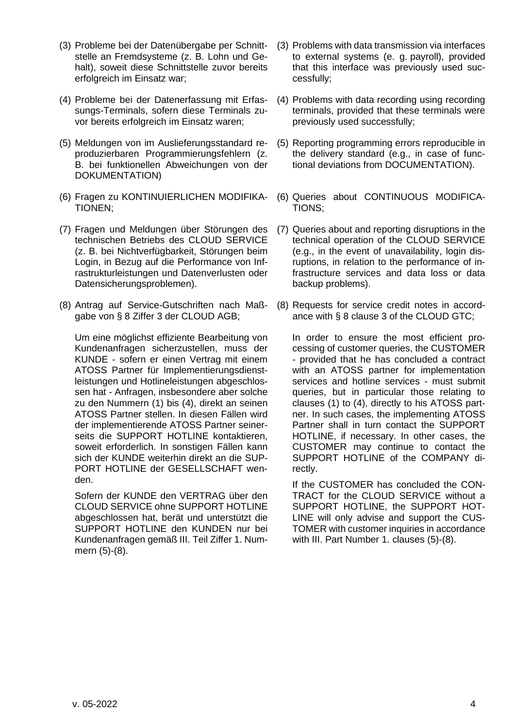- (3) Probleme bei der Datenübergabe per Schnittstelle an Fremdsysteme (z. B. Lohn und Gehalt), soweit diese Schnittstelle zuvor bereits erfolgreich im Einsatz war;
- (4) Probleme bei der Datenerfassung mit Erfassungs-Terminals, sofern diese Terminals zuvor bereits erfolgreich im Einsatz waren;
- (5) Meldungen von im Auslieferungsstandard reproduzierbaren Programmierungsfehlern (z. B. bei funktionellen Abweichungen von der DOKUMENTATION)
- (6) Fragen zu KONTINUIERLICHEN MODIFIKA-TIONEN;
- (7) Fragen und Meldungen über Störungen des technischen Betriebs des CLOUD SERVICE (z. B. bei Nichtverfügbarkeit, Störungen beim Login, in Bezug auf die Performance von Infrastrukturleistungen und Datenverlusten oder Datensicherungsproblemen).
- (8) Antrag auf Service-Gutschriften nach Maßgabe von § 8 Ziffer 3 der CLOUD AGB;

Um eine möglichst effiziente Bearbeitung von Kundenanfragen sicherzustellen, muss der KUNDE - sofern er einen Vertrag mit einem ATOSS Partner für Implementierungsdienstleistungen und Hotlineleistungen abgeschlossen hat - Anfragen, insbesondere aber solche zu den Nummern (1) bis (4), direkt an seinen ATOSS Partner stellen. In diesen Fällen wird der implementierende ATOSS Partner seinerseits die SUPPORT HOTLINE kontaktieren, soweit erforderlich. In sonstigen Fällen kann sich der KUNDE weiterhin direkt an die SUP-PORT HOTLINE der GESELLSCHAFT wenden.

Sofern der KUNDE den VERTRAG über den CLOUD SERVICE ohne SUPPORT HOTLINE abgeschlossen hat, berät und unterstützt die SUPPORT HOTLINE den KUNDEN nur bei Kundenanfragen gemäß III. Teil Ziffer 1. Nummern (5)-(8).

- (3) Problems with data transmission via interfaces to external systems (e. g. payroll), provided that this interface was previously used successfully;
- (4) Problems with data recording using recording terminals, provided that these terminals were previously used successfully;
- (5) Reporting programming errors reproducible in the delivery standard (e.g., in case of functional deviations from DOCUMENTATION).
- (6) Queries about CONTINUOUS MODIFICA-TIONS;
- (7) Queries about and reporting disruptions in the technical operation of the CLOUD SERVICE (e.g., in the event of unavailability, login disruptions, in relation to the performance of infrastructure services and data loss or data backup problems).
- (8) Requests for service credit notes in accordance with § 8 clause 3 of the CLOUD GTC;

In order to ensure the most efficient processing of customer queries, the CUSTOMER - provided that he has concluded a contract with an ATOSS partner for implementation services and hotline services - must submit queries, but in particular those relating to clauses (1) to (4), directly to his ATOSS partner. In such cases, the implementing ATOSS Partner shall in turn contact the SUPPORT HOTLINE, if necessary. In other cases, the CUSTOMER may continue to contact the SUPPORT HOTLINE of the COMPANY directly.

If the CUSTOMER has concluded the CON-TRACT for the CLOUD SERVICE without a SUPPORT HOTLINE, the SUPPORT HOT-LINE will only advise and support the CUS-TOMER with customer inquiries in accordance with III. Part Number 1. clauses (5)-(8).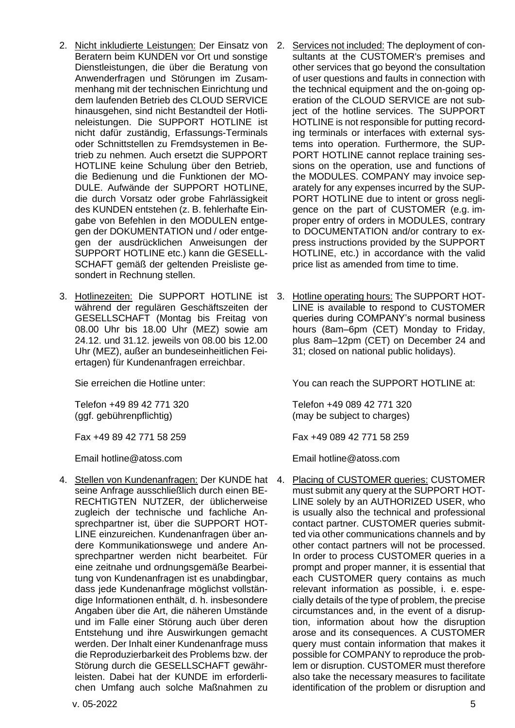- 2. Nicht inkludierte Leistungen: Der Einsatz von 2. Beratern beim KUNDEN vor Ort und sonstige Dienstleistungen, die über die Beratung von Anwenderfragen und Störungen im Zusammenhang mit der technischen Einrichtung und dem laufenden Betrieb des CLOUD SERVICE hinausgehen, sind nicht Bestandteil der Hotlineleistungen. Die SUPPORT HOTLINE ist nicht dafür zuständig, Erfassungs-Terminals oder Schnittstellen zu Fremdsystemen in Betrieb zu nehmen. Auch ersetzt die SUPPORT HOTLINE keine Schulung über den Betrieb, die Bedienung und die Funktionen der MO-DULE. Aufwände der SUPPORT HOTLINE, die durch Vorsatz oder grobe Fahrlässigkeit des KUNDEN entstehen (z. B. fehlerhafte Eingabe von Befehlen in den MODULEN entgegen der DOKUMENTATION und / oder entgegen der ausdrücklichen Anweisungen der SUPPORT HOTLINE etc.) kann die GESELL-SCHAFT gemäß der geltenden Preisliste gesondert in Rechnung stellen.
- 3. Hotlinezeiten: Die SUPPORT HOTLINE ist während der regulären Geschäftszeiten der GESELLSCHAFT (Montag bis Freitag von 08.00 Uhr bis 18.00 Uhr (MEZ) sowie am 24.12. und 31.12. jeweils von 08.00 bis 12.00 Uhr (MEZ), außer an bundeseinheitlichen Feiertagen) für Kundenanfragen erreichbar.

Telefon +49 89 42 771 320 (ggf. gebührenpflichtig)

4. Stellen von Kundenanfragen: Der KUNDE hat seine Anfrage ausschließlich durch einen BE-RECHTIGTEN NUTZER, der üblicherweise zugleich der technische und fachliche Ansprechpartner ist, über die SUPPORT HOT-LINE einzureichen. Kundenanfragen über andere Kommunikationswege und andere Ansprechpartner werden nicht bearbeitet. Für eine zeitnahe und ordnungsgemäße Bearbeitung von Kundenanfragen ist es unabdingbar, dass jede Kundenanfrage möglichst vollständige Informationen enthält, d. h. insbesondere Angaben über die Art, die näheren Umstände und im Falle einer Störung auch über deren Entstehung und ihre Auswirkungen gemacht werden. Der Inhalt einer Kundenanfrage muss die Reproduzierbarkeit des Problems bzw. der Störung durch die GESELLSCHAFT gewährleisten. Dabei hat der KUNDE im erforderlichen Umfang auch solche Maßnahmen zu

- Services not included: The deployment of consultants at the CUSTOMER's premises and other services that go beyond the consultation of user questions and faults in connection with the technical equipment and the on-going operation of the CLOUD SERVICE are not subject of the hotline services. The SUPPORT HOTLINE is not responsible for putting recording terminals or interfaces with external systems into operation. Furthermore, the SUP-PORT HOTLINE cannot replace training sessions on the operation, use and functions of the MODULES. COMPANY may invoice separately for any expenses incurred by the SUP-PORT HOTLINE due to intent or gross negligence on the part of CUSTOMER (e.g. improper entry of orders in MODULES, contrary to DOCUMENTATION and/or contrary to express instructions provided by the SUPPORT HOTLINE, etc.) in accordance with the valid price list as amended from time to time.
- 3. Hotline operating hours: The SUPPORT HOT-LINE is available to respond to CUSTOMER queries during COMPANY's normal business hours (8am–6pm (CET) Monday to Friday, plus 8am–12pm (CET) on December 24 and 31; closed on national public holidays).

Sie erreichen die Hotline unter: You can reach the SUPPORT HOTLINE at:

Telefon +49 089 42 771 320 (may be subject to charges)

Fax +49 89 42 771 58 259 Fax +49 089 42 771 58 259

Email hotline@atoss.com Email hotline@atoss.com

4. Placing of CUSTOMER queries: CUSTOMER must submit any query at the SUPPORT HOT-LINE solely by an AUTHORIZED USER, who is usually also the technical and professional contact partner. CUSTOMER queries submitted via other communications channels and by other contact partners will not be processed. In order to process CUSTOMER queries in a prompt and proper manner, it is essential that each CUSTOMER query contains as much relevant information as possible, i. e. especially details of the type of problem, the precise circumstances and, in the event of a disruption, information about how the disruption arose and its consequences. A CUSTOMER query must contain information that makes it possible for COMPANY to reproduce the problem or disruption. CUSTOMER must therefore also take the necessary measures to facilitate identification of the problem or disruption and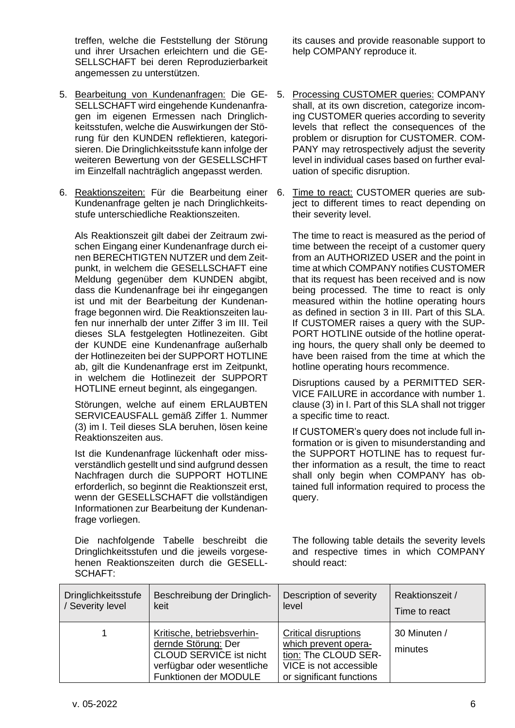treffen, welche die Feststellung der Störung und ihrer Ursachen erleichtern und die GE-SELLSCHAFT bei deren Reproduzierbarkeit angemessen zu unterstützen.

- 5. Bearbeitung von Kundenanfragen: Die GE-SELLSCHAFT wird eingehende Kundenanfragen im eigenen Ermessen nach Dringlichkeitsstufen, welche die Auswirkungen der Störung für den KUNDEN reflektieren, kategorisieren. Die Dringlichkeitsstufe kann infolge der weiteren Bewertung von der GESELLSCHFT im Einzelfall nachträglich angepasst werden.
- 6. Reaktionszeiten: Für die Bearbeitung einer 6. Kundenanfrage gelten je nach Dringlichkeitsstufe unterschiedliche Reaktionszeiten.

Als Reaktionszeit gilt dabei der Zeitraum zwischen Eingang einer Kundenanfrage durch einen BERECHTIGTEN NUTZER und dem Zeitpunkt, in welchem die GESELLSCHAFT eine Meldung gegenüber dem KUNDEN abgibt, dass die Kundenanfrage bei ihr eingegangen ist und mit der Bearbeitung der Kundenanfrage begonnen wird. Die Reaktionszeiten laufen nur innerhalb der unter Ziffer 3 im III. Teil dieses SLA festgelegten Hotlinezeiten. Gibt der KUNDE eine Kundenanfrage außerhalb der Hotlinezeiten bei der SUPPORT HOTLINE ab, gilt die Kundenanfrage erst im Zeitpunkt, in welchem die Hotlinezeit der SUPPORT HOTLINE erneut beginnt, als eingegangen.

Störungen, welche auf einem ERLAUBTEN SERVICEAUSFALL gemäß Ziffer 1. Nummer (3) im I. Teil dieses SLA beruhen, lösen keine Reaktionszeiten aus.

Ist die Kundenanfrage lückenhaft oder missverständlich gestellt und sind aufgrund dessen Nachfragen durch die SUPPORT HOTLINE erforderlich, so beginnt die Reaktionszeit erst, wenn der GESELLSCHAFT die vollständigen Informationen zur Bearbeitung der Kundenanfrage vorliegen.

Die nachfolgende Tabelle beschreibt die Dringlichkeitsstufen und die jeweils vorgesehenen Reaktionszeiten durch die GESELL-SCHAFT:

its causes and provide reasonable support to help COMPANY reproduce it.

- 5. Processing CUSTOMER queries: COMPANY shall, at its own discretion, categorize incoming CUSTOMER queries according to severity levels that reflect the consequences of the problem or disruption for CUSTOMER. COM-PANY may retrospectively adjust the severity level in individual cases based on further evaluation of specific disruption.
- Time to react: CUSTOMER queries are subject to different times to react depending on their severity level.

The time to react is measured as the period of time between the receipt of a customer query from an AUTHORIZED USER and the point in time at which COMPANY notifies CUSTOMER that its request has been received and is now being processed. The time to react is only measured within the hotline operating hours as defined in section 3 in III. Part of this SLA. If CUSTOMER raises a query with the SUP-PORT HOTLINE outside of the hotline operating hours, the query shall only be deemed to have been raised from the time at which the hotline operating hours recommence.

Disruptions caused by a PERMITTED SER-VICE FAILURE in accordance with number 1. clause (3) in I. Part of this SLA shall not trigger a specific time to react.

If CUSTOMER's query does not include full information or is given to misunderstanding and the SUPPORT HOTLINE has to request further information as a result, the time to react shall only begin when COMPANY has obtained full information required to process the query.

The following table details the severity levels and respective times in which COMPANY should react:

| <b>Dringlichkeitsstufe</b> | Beschreibung der Dringlich-                                                                                                                | Description of severity                                                                                                           | Reaktionszeit /         |
|----------------------------|--------------------------------------------------------------------------------------------------------------------------------------------|-----------------------------------------------------------------------------------------------------------------------------------|-------------------------|
| / Severity level           | keit                                                                                                                                       | level                                                                                                                             | Time to react           |
|                            | Kritische, betriebsverhin-<br>dernde Störung: Der<br><b>CLOUD SERVICE ist nicht</b><br>verfügbar oder wesentliche<br>Funktionen der MODULE | <b>Critical disruptions</b><br>which prevent opera-<br>tion: The CLOUD SER-<br>VICE is not accessible<br>or significant functions | 30 Minuten /<br>minutes |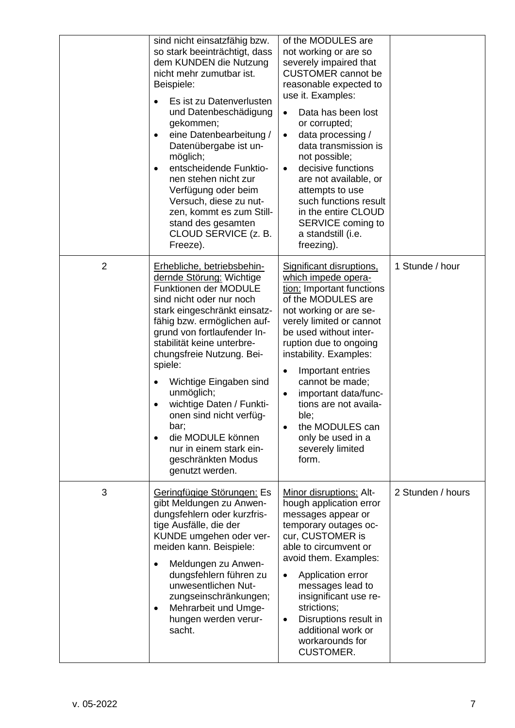|                | sind nicht einsatzfähig bzw.<br>so stark beeinträchtigt, dass<br>dem KUNDEN die Nutzung<br>nicht mehr zumutbar ist.<br>Beispiele:<br>Es ist zu Datenverlusten<br>und Datenbeschädigung<br>gekommen;<br>eine Datenbearbeitung /<br>Datenübergabe ist un-<br>möglich;<br>entscheidende Funktio-<br>nen stehen nicht zur<br>Verfügung oder beim<br>Versuch, diese zu nut-<br>zen, kommt es zum Still-<br>stand des gesamten<br>CLOUD SERVICE (z. B.<br>Freeze).                           | of the MODULES are<br>not working or are so<br>severely impaired that<br><b>CUSTOMER</b> cannot be<br>reasonable expected to<br>use it. Examples:<br>Data has been lost<br>$\bullet$<br>or corrupted;<br>data processing /<br>$\bullet$<br>data transmission is<br>not possible;<br>decisive functions<br>$\bullet$<br>are not available, or<br>attempts to use<br>such functions result<br>in the entire CLOUD<br>SERVICE coming to<br>a standstill (i.e.<br>freezing). |                   |
|----------------|----------------------------------------------------------------------------------------------------------------------------------------------------------------------------------------------------------------------------------------------------------------------------------------------------------------------------------------------------------------------------------------------------------------------------------------------------------------------------------------|--------------------------------------------------------------------------------------------------------------------------------------------------------------------------------------------------------------------------------------------------------------------------------------------------------------------------------------------------------------------------------------------------------------------------------------------------------------------------|-------------------|
| $\overline{2}$ | Erhebliche, betriebsbehin-<br>dernde Störung: Wichtige<br><b>Funktionen der MODULE</b><br>sind nicht oder nur noch<br>stark eingeschränkt einsatz-<br>fähig bzw. ermöglichen auf-<br>grund von fortlaufender In-<br>stabilität keine unterbre-<br>chungsfreie Nutzung. Bei-<br>spiele:<br>Wichtige Eingaben sind<br>unmöglich;<br>wichtige Daten / Funkti-<br>onen sind nicht verfüg-<br>bar;<br>die MODULE können<br>nur in einem stark ein-<br>geschränkten Modus<br>genutzt werden. | Significant disruptions,<br>which impede opera-<br>tion: Important functions<br>of the MODULES are<br>not working or are se-<br>verely limited or cannot<br>be used without inter-<br>ruption due to ongoing<br>instability. Examples:<br>Important entries<br>$\bullet$<br>cannot be made;<br>important data/func-<br>$\bullet$<br>tions are not availa-<br>ble;<br>the MODULES can<br>only be used in a<br>severely limited<br>form.                                   | 1 Stunde / hour   |
| 3              | Geringfügige Störungen: Es<br>gibt Meldungen zu Anwen-<br>dungsfehlern oder kurzfris-<br>tige Ausfälle, die der<br>KUNDE umgehen oder ver-<br>meiden kann. Beispiele:<br>Meldungen zu Anwen-<br>$\bullet$<br>dungsfehlern führen zu<br>unwesentlichen Nut-<br>zungseinschränkungen;<br>Mehrarbeit und Umge-<br>hungen werden verur-<br>sacht.                                                                                                                                          | Minor disruptions: Alt-<br>hough application error<br>messages appear or<br>temporary outages oc-<br>cur, CUSTOMER is<br>able to circumvent or<br>avoid them. Examples:<br>Application error<br>$\bullet$<br>messages lead to<br>insignificant use re-<br>strictions;<br>Disruptions result in<br>$\bullet$<br>additional work or<br>workarounds for<br><b>CUSTOMER.</b>                                                                                                 | 2 Stunden / hours |